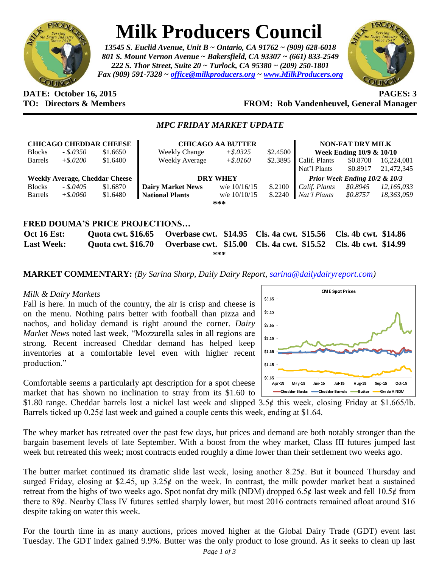

# **Milk Producers Council**

*13545 S. Euclid Avenue, Unit B ~ Ontario, CA 91762 ~ (909) 628-6018 801 S. Mount Vernon Avenue ~ Bakersfield, CA 93307 ~ (661) 833-2549 222 S. Thor Street, Suite 20 ~ Turlock, CA 95380 ~ (209) 250-1801 Fax (909) 591-7328 ~ [office@milkproducers.org](mailto:office@milkproducers.org) ~ [www.MilkProducers.org](http://www.milkproducers.org/)*



#### **DATE: October 16, 2015 PAGES: 3 TO: Directors & Members FROM: Rob Vandenheuvel, General Manager**

#### *MPC FRIDAY MARKET UPDATE*

| <b>CHICAGO CHEDDAR CHEESE</b>                |             |          | <b>CHICAGO AA BUTTER</b> |                |          | <b>NON-FAT DRY MILK</b>          |          |            |
|----------------------------------------------|-------------|----------|--------------------------|----------------|----------|----------------------------------|----------|------------|
| <b>Blocks</b>                                | $-.50350$   | \$1.6650 | <b>Weekly Change</b>     | $+$ \$.0325    | \$2.4500 | Week Ending $10/9 \& 10/10$      |          |            |
| <b>Barrels</b>                               | $+$ \$.0200 | \$1.6400 | Weekly Average           | $+$ \$.0160    | \$2.3895 | Calif. Plants                    | \$0.8708 | 16,224,081 |
|                                              |             |          |                          |                |          | Nat'l Plants                     | \$0.8917 | 21,472,345 |
| <b>Weekly Average, Cheddar Cheese</b>        |             |          | <b>DRY WHEY</b>          |                |          | Prior Week Ending $10/2 \& 10/3$ |          |            |
| <b>Blocks</b>                                | $-.5.0405$  | \$1.6870 | <b>Dairy Market News</b> | w/e $10/16/15$ | \$.2100  | Calif. Plants                    | \$0.8945 | 12,165,033 |
| Barrels                                      | $+$ \$.0060 | \$1.6480 | <b>National Plants</b>   | w/e $10/10/15$ | \$.2240  | Nat'l Plants                     | \$0.8757 | 18,363,059 |
| ***                                          |             |          |                          |                |          |                                  |          |            |
|                                              |             |          |                          |                |          |                                  |          |            |
| <b>*****</b> *^**<br><b>BBIAR BBATRATION</b> |             |          |                          |                |          |                                  |          |            |

## **FRED DOUMA'S PRICE PROJECTIONS… Oct 16 Est: Quota cwt. \$16.65 Overbase cwt. \$14.95 Cls. 4a cwt. \$15.56 Cls. 4b cwt. \$14.86 Last Week: Quota cwt. \$16.70 Overbase cwt. \$15.00 Cls. 4a cwt. \$15.52 Cls. 4b cwt. \$14.99**

**\*\*\***

**MARKET COMMENTARY:** *(By Sarina Sharp, Daily Dairy Report, [sarina@dailydairyreport.com\)](mailto:sarina@dailydairyreport.com)*

#### *Milk & Dairy Markets*

Fall is here. In much of the country, the air is crisp and cheese is on the menu. Nothing pairs better with football than pizza and nachos, and holiday demand is right around the corner. *Dairy Market News* noted last week, "Mozzarella sales in all regions are strong. Recent increased Cheddar demand has helped keep inventories at a comfortable level even with higher recent production."



**CME Spot Prices** 

Comfortable seems a particularly apt description for a spot cheese market that has shown no inclination to stray from its \$1.60 to

\$1.80 range. Cheddar barrels lost a nickel last week and slipped 3.5¢ this week, closing Friday at \$1.665/lb. Barrels ticked up  $0.25¢$  last week and gained a couple cents this week, ending at \$1.64.

The whey market has retreated over the past few days, but prices and demand are both notably stronger than the bargain basement levels of late September. With a boost from the whey market, Class III futures jumped last week but retreated this week; most contracts ended roughly a dime lower than their settlement two weeks ago.

The butter market continued its dramatic slide last week, losing another  $8.25¢$ . But it bounced Thursday and surged Friday, closing at \$2.45, up  $3.25¢$  on the week. In contrast, the milk powder market beat a sustained retreat from the highs of two weeks ago. Spot nonfat dry milk (NDM) dropped 6.5 $\phi$  last week and fell 10.5 $\phi$  from there to 89¢. Nearby Class IV futures settled sharply lower, but most 2016 contracts remained afloat around \$16 despite taking on water this week.

For the fourth time in as many auctions, prices moved higher at the Global Dairy Trade (GDT) event last Tuesday. The GDT index gained 9.9%. Butter was the only product to lose ground. As it seeks to clean up last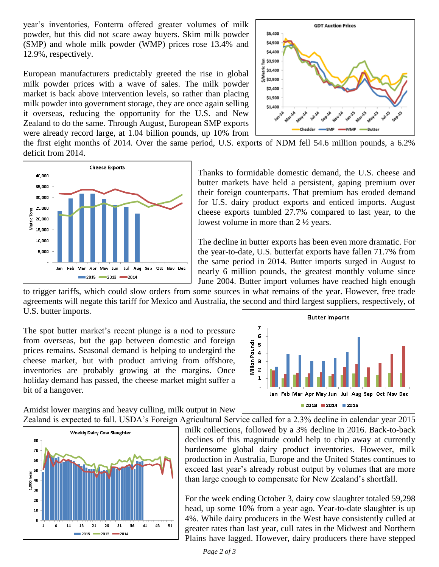year's inventories, Fonterra offered greater volumes of milk powder, but this did not scare away buyers. Skim milk powder (SMP) and whole milk powder (WMP) prices rose 13.4% and 12.9%, respectively.

European manufacturers predictably greeted the rise in global milk powder prices with a wave of sales. The milk powder market is back above intervention levels, so rather than placing milk powder into government storage, they are once again selling it overseas, reducing the opportunity for the U.S. and New Zealand to do the same. Through August, European SMP exports were already record large, at 1.04 billion pounds, up 10% from



the first eight months of 2014. Over the same period, U.S. exports of NDM fell 54.6 million pounds, a 6.2% deficit from 2014.



Thanks to formidable domestic demand, the U.S. cheese and butter markets have held a persistent, gaping premium over their foreign counterparts. That premium has eroded demand for U.S. dairy product exports and enticed imports. August cheese exports tumbled 27.7% compared to last year, to the lowest volume in more than 2 ½ years.

The decline in butter exports has been even more dramatic. For the year-to-date, U.S. butterfat exports have fallen 71.7% from the same period in 2014. Butter imports surged in August to nearly 6 million pounds, the greatest monthly volume since June 2004. Butter import volumes have reached high enough

to trigger tariffs, which could slow orders from some sources in what remains of the year. However, free trade agreements will negate this tariff for Mexico and Australia, the second and third largest suppliers, respectively, of U.S. butter imports.

The spot butter market's recent plunge is a nod to pressure from overseas, but the gap between domestic and foreign prices remains. Seasonal demand is helping to undergird the cheese market, but with product arriving from offshore, inventories are probably growing at the margins. Once holiday demand has passed, the cheese market might suffer a bit of a hangover.



Amidst lower margins and heavy culling, milk output in New



Zealand is expected to fall. USDA's Foreign Agricultural Service called for a 2.3% decline in calendar year 2015 milk collections, followed by a 3% decline in 2016. Back-to-back declines of this magnitude could help to chip away at currently burdensome global dairy product inventories. However, milk production in Australia, Europe and the United States continues to exceed last year's already robust output by volumes that are more than large enough to compensate for New Zealand's shortfall.

> For the week ending October 3, dairy cow slaughter totaled 59,298 head, up some 10% from a year ago. Year-to-date slaughter is up 4%. While dairy producers in the West have consistently culled at greater rates than last year, cull rates in the Midwest and Northern Plains have lagged. However, dairy producers there have stepped